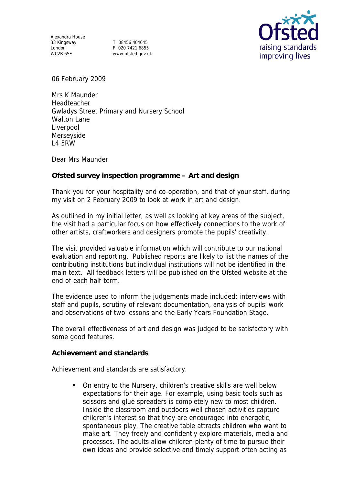Alexandra House 33 Kingsway Provides the second T 08456 404045<br>
London F 020 7421 6855<br>
WC2B 6SE MWW.ofsted.gov.u

www.ofsted.gov.uk



06 February 2009

Mrs K Maunder Headteacher Gwladys Street Primary and Nursery School Walton Lane Liverpool Merseyside L4 5RW

Dear Mrs Maunder

**Ofsted survey inspection programme – Art and design**

Thank you for your hospitality and co-operation, and that of your staff, during my visit on 2 February 2009 to look at work in art and design.

As outlined in my initial letter, as well as looking at key areas of the subject, the visit had a particular focus on how effectively connections to the work of other artists, craftworkers and designers promote the pupils' creativity.

The visit provided valuable information which will contribute to our national evaluation and reporting. Published reports are likely to list the names of the contributing institutions but individual institutions will not be identified in the main text. All feedback letters will be published on the Ofsted website at the end of each half-term.

The evidence used to inform the judgements made included: interviews with staff and pupils, scrutiny of relevant documentation, analysis of pupils' work and observations of two lessons and the Early Years Foundation Stage.

The overall effectiveness of art and design was judged to be satisfactory with some good features.

**Achievement and standards** 

Achievement and standards are satisfactory.

 On entry to the Nursery, children's creative skills are well below expectations for their age. For example, using basic tools such as scissors and glue spreaders is completely new to most children. Inside the classroom and outdoors well chosen activities capture children's interest so that they are encouraged into energetic, spontaneous play. The creative table attracts children who want to make art. They freely and confidently explore materials, media and processes. The adults allow children plenty of time to pursue their own ideas and provide selective and timely support often acting as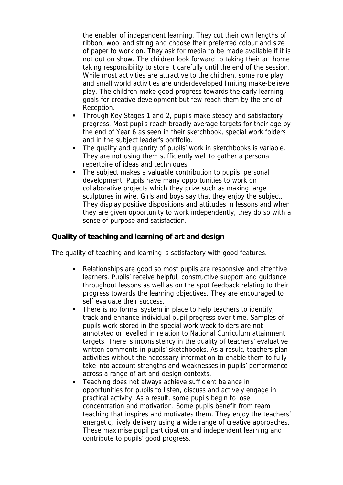the enabler of independent learning. They cut their own lengths of ribbon, wool and string and choose their preferred colour and size of paper to work on. They ask for media to be made available if it is not out on show. The children look forward to taking their art home taking responsibility to store it carefully until the end of the session. While most activities are attractive to the children, some role play and small world activities are underdeveloped limiting make-believe play. The children make good progress towards the early learning goals for creative development but few reach them by the end of Reception.

- Through Key Stages 1 and 2, pupils make steady and satisfactory progress. Most pupils reach broadly average targets for their age by the end of Year 6 as seen in their sketchbook, special work folders and in the subject leader's portfolio.
- The quality and quantity of pupils' work in sketchbooks is variable. They are not using them sufficiently well to gather a personal repertoire of ideas and techniques.
- The subject makes a valuable contribution to pupils' personal development. Pupils have many opportunities to work on collaborative projects which they prize such as making large sculptures in wire. Girls and boys say that they enjoy the subject. They display positive dispositions and attitudes in lessons and when they are given opportunity to work independently, they do so with a sense of purpose and satisfaction.

**Quality of teaching and learning of art and design**

The quality of teaching and learning is satisfactory with good features.

- Relationships are good so most pupils are responsive and attentive learners. Pupils' receive helpful, constructive support and guidance throughout lessons as well as on the spot feedback relating to their progress towards the learning objectives. They are encouraged to self evaluate their success.
- There is no formal system in place to help teachers to identify, track and enhance individual pupil progress over time. Samples of pupils work stored in the special work week folders are not annotated or levelled in relation to National Curriculum attainment targets. There is inconsistency in the quality of teachers' evaluative written comments in pupils' sketchbooks. As a result, teachers plan activities without the necessary information to enable them to fully take into account strengths and weaknesses in pupils' performance across a range of art and design contexts.
- Teaching does not always achieve sufficient balance in opportunities for pupils to listen, discuss and actively engage in practical activity. As a result, some pupils begin to lose concentration and motivation. Some pupils benefit from team teaching that inspires and motivates them. They enjoy the teachers' energetic, lively delivery using a wide range of creative approaches. These maximise pupil participation and independent learning and contribute to pupils' good progress.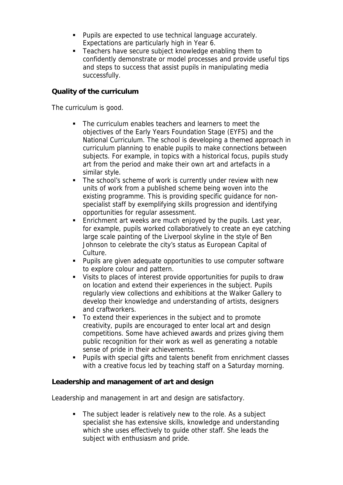- **Pupils are expected to use technical language accurately.** Expectations are particularly high in Year 6.
- Teachers have secure subject knowledge enabling them to confidently demonstrate or model processes and provide useful tips and steps to success that assist pupils in manipulating media successfully.

## **Quality of the curriculum**

The curriculum is good.

- The curriculum enables teachers and learners to meet the objectives of the Early Years Foundation Stage (EYFS) and the National Curriculum. The school is developing a themed approach in curriculum planning to enable pupils to make connections between subjects. For example, in topics with a historical focus, pupils study art from the period and make their own art and artefacts in a similar style.
- The school's scheme of work is currently under review with new units of work from a published scheme being woven into the existing programme. This is providing specific guidance for nonspecialist staff by exemplifying skills progression and identifying opportunities for regular assessment.
- **Enrichment art weeks are much enjoyed by the pupils. Last year,** for example, pupils worked collaboratively to create an eye catching large scale painting of the Liverpool skyline in the style of Ben Johnson to celebrate the city's status as European Capital of Culture.
- Pupils are given adequate opportunities to use computer software to explore colour and pattern.
- Visits to places of interest provide opportunities for pupils to draw on location and extend their experiences in the subject. Pupils regularly view collections and exhibitions at the Walker Gallery to develop their knowledge and understanding of artists, designers and craftworkers.
- To extend their experiences in the subject and to promote creativity, pupils are encouraged to enter local art and design competitions. Some have achieved awards and prizes giving them public recognition for their work as well as generating a notable sense of pride in their achievements.
- Pupils with special gifts and talents benefit from enrichment classes with a creative focus led by teaching staff on a Saturday morning.

**Leadership and management of art and design**

Leadership and management in art and design are satisfactory.

The subject leader is relatively new to the role. As a subject specialist she has extensive skills, knowledge and understanding which she uses effectively to guide other staff. She leads the subject with enthusiasm and pride.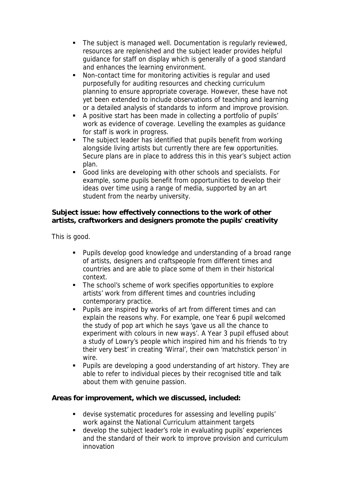- The subject is managed well. Documentation is regularly reviewed, resources are replenished and the subject leader provides helpful guidance for staff on display which is generally of a good standard and enhances the learning environment.
- Non-contact time for monitoring activities is regular and used purposefully for auditing resources and checking curriculum planning to ensure appropriate coverage. However, these have not yet been extended to include observations of teaching and learning or a detailed analysis of standards to inform and improve provision.
- A positive start has been made in collecting a portfolio of pupils' work as evidence of coverage. Levelling the examples as guidance for staff is work in progress.
- The subject leader has identified that pupils benefit from working alongside living artists but currently there are few opportunities. Secure plans are in place to address this in this year's subject action plan.
- Good links are developing with other schools and specialists. For example, some pupils benefit from opportunities to develop their ideas over time using a range of media, supported by an art student from the nearby university.

**Subject issue: how effectively connections to the work of other artists, craftworkers and designers promote the pupils' creativity**

This is good.

- Pupils develop good knowledge and understanding of a broad range of artists, designers and craftspeople from different times and countries and are able to place some of them in their historical context.
- The school's scheme of work specifies opportunities to explore artists' work from different times and countries including contemporary practice.
- Pupils are inspired by works of art from different times and can explain the reasons why. For example, one Year 6 pupil welcomed the study of pop art which he says 'gave us all the chance to experiment with colours in new ways'. A Year 3 pupil effused about a study of Lowry's people which inspired him and his friends 'to try their very best' in creating 'Wirral', their own 'matchstick person' in wire.
- Pupils are developing a good understanding of art history. They are able to refer to individual pieces by their recognised title and talk about them with genuine passion.

**Areas for improvement, which we discussed, included:**

- devise systematic procedures for assessing and levelling pupils' work against the National Curriculum attainment targets
- develop the subject leader's role in evaluating pupils' experiences and the standard of their work to improve provision and curriculum innovation